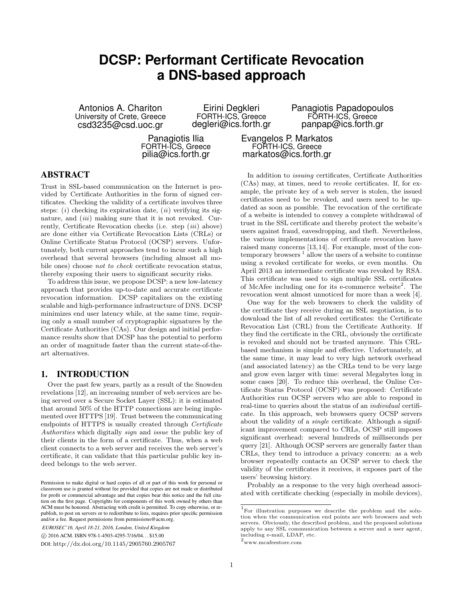# **DCSP: Performant Certificate Revocation a DNS-based approach**

Antonios A. Chariton University of Crete, Greece csd3235@csd.uoc.gr

Eirini Degkleri FORTH-ICS, Greece degleri@ics.forth.gr

Panagiotis Ilia FORTH-ICS, Greece pilia@ics.forth.gr

Panagiotis Papadopoulos FORTH-ICS, Greece panpap@ics.forth.gr

# ABSTRACT

Trust in SSL-based communication on the Internet is provided by Certificate Authorities in the form of signed certificates. Checking the validity of a certificate involves three steps:  $(i)$  checking its expiration date,  $(ii)$  verifying its signature, and  $(iii)$  making sure that it is not revoked. Currently, Certificate Revocation checks (i.e. step (iii) above) are done either via Certificate Revocation Lists (CRLs) or Online Certificate Status Protocol (OCSP) servers. Unfortunately, both current approaches tend to incur such a high overhead that several browsers (including almost all mobile ones) choose *not to check* certificate revocation status, thereby exposing their users to significant security risks.

To address this issue, we propose DCSP: a new low-latency approach that provides up-to-date and accurate certificate revocation information. DCSP capitalizes on the existing scalable and high-performance infrastructure of DNS. DCSP minimizes end user latency while, at the same time, requiring only a small number of cryptographic signatures by the Certificate Authorities (CAs). Our design and initial performance results show that DCSP has the potential to perform an order of magnitude faster than the current state-of-theart alternatives.

## 1. INTRODUCTION

Over the past few years, partly as a result of the Snowden revelations [\[12\]](#page-5-0), an increasing number of web services are being served over a Secure Socket Layer (SSL): it is estimated that around 50% of the HTTP connections are being implemented over HTTPS [\[19\]](#page-6-0). Trust between the communicating endpoints of HTTPS is usually created through Certificate Authorities which digitally sign and issue the public key of their clients in the form of a certificate. Thus, when a web client connects to a web server and receives the web server's certificate, it can validate that this particular public key indeed belongs to the web server.

*EUROSEC'16, April 18-21, 2016, London, United Kingdom*

Evangelos P. Markatos FORTH-ICS, Greece markatos@ics.forth.gr

In addition to issuing certificates, Certificate Authorities (CAs) may, at times, need to revoke certificates. If, for example, the private key of a web server is stolen, the issued certificates need to be revoked, and users need to be updated as soon as possible. The revocation of the certificate of a website is intended to convey a complete withdrawal of trust in the SSL certificate and thereby protect the website's users against fraud, eavesdropping, and theft. Nevertheless, the various implementations of certificate revocation have raised many concerns [\[13,](#page-5-1)[14\]](#page-5-2). For example, most of the con $temporary$  browsers  $<sup>1</sup>$  $<sup>1</sup>$  $<sup>1</sup>$  allow the users of a website to continue</sup> using a revoked certificate for weeks, or even months. On April 2013 an intermediate certificate was revoked by RSA. This certificate was used to sign multiple SSL certificates of McAfee including one for its e-commerce website[2](#page-0-1) . The revocation went almost unnoticed for more than a week [\[4\]](#page-5-3).

One way for the web browsers to check the validity of the certificate they receive during an SSL negotiation, is to download the list of all revoked certificates: the Certificate Revocation List (CRL) from the Certificate Authority. If they find the certificate in the CRL, obviously the certificate is revoked and should not be trusted anymore. This CRLbased mechanism is simple and effective. Unfortunately, at the same time, it may lead to very high network overhead (and associated latency) as the CRLs tend to be very large and grow even larger with time: several Megabytes long in some cases [\[20\]](#page-6-1). To reduce this overhead, the Online Certificate Status Protocol (OCSP) was proposed: Certificate Authorities run OCSP servers who are able to respond in real-time to queries about the status of an individual certificate. In this approach, web browsers query OCSP servers about the validity of a single certificate. Although a significant improvement compared to CRLs, OCSP still imposes significant overhead: several hundreds of milliseconds per query [\[21\]](#page-6-2). Although OCSP servers are generally faster than CRLs, they tend to introduce a privacy concern: as a web browser repeatedly contacts an OCSP server to check the validity of the certificates it receives, it exposes part of the users' browsing history.

Probably as a response to the very high overhead associated with certificate checking (especially in mobile devices),

Permission to make digital or hard copies of all or part of this work for personal or classroom use is granted without fee provided that copies are not made or distributed for profit or commercial advantage and that copies bear this notice and the full citation on the first page. Copyrights for components of this work owned by others than ACM must be honored. Abstracting with credit is permitted. To copy otherwise, or republish, to post on servers or to redistribute to lists, requires prior specific permission and/or a fee. Request permissions from permissions@acm.org.

c 2016 ACM. ISBN 978-1-4503-4295-7/16/04. . . \$15.00

DOI: <http://dx.doi.org/10.1145/2905760.2905767>

<span id="page-0-0"></span><sup>1</sup>For illustration purposes we describe the problem and the solution when the communication end points are web browsers and web servers. Obviously, the described problem, and the proposed solutions apply to any SSL communication between a server and a user agent, including e-mail, LDAP, etc.

<span id="page-0-1"></span> $^2$ www.mcafeestore.com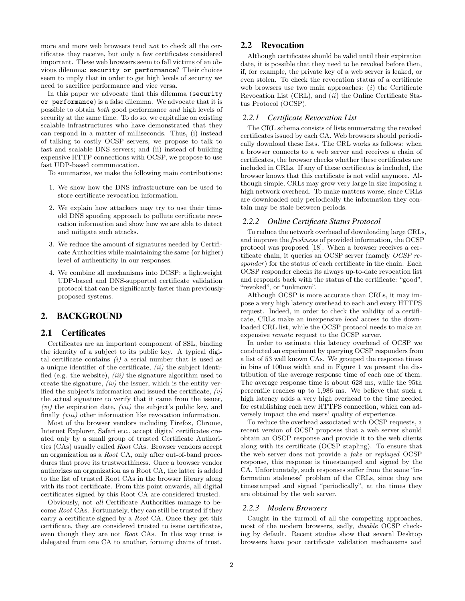more and more web browsers tend not to check all the certificates they receive, but only a few certificates considered important. These web browsers seem to fall victims of an obvious dilemma: security or performance? Their choices seem to imply that in order to get high levels of security we need to sacrifice performance and vice versa.

In this paper we advocate that this dilemma (security or performance) is a false dilemma. We advocate that it is possible to obtain both good performance and high levels of security at the same time. To do so, we capitalize on existing scalable infrastructures who have demonstrated that they can respond in a matter of milliseconds. Thus, (i) instead of talking to costly OCSP servers, we propose to talk to fast and scalable DNS servers; and (ii) instead of building expensive HTTP connections with OCSP, we propose to use fast UDP-based communication.

To summarize, we make the following main contributions:

- 1. We show how the DNS infrastructure can be used to store certificate revocation information.
- 2. We explain how attackers may try to use their timeold DNS spoofing approach to pollute certificate revocation information and show how we are able to detect and mitigate such attacks.
- 3. We reduce the amount of signatures needed by Certificate Authorities while maintaining the same (or higher) level of authenticity in our responses.
- 4. We combine all mechanisms into DCSP: a lightweight UDP-based and DNS-supported certificate validation protocol that can be significantly faster than previouslyproposed systems.

## 2. BACKGROUND

## 2.1 Certificates

Certificates are an important component of SSL, binding the identity of a subject to its public key. A typical digital certificate contains  $(i)$  a serial number that is used as a unique identifier of the certificate,  $(ii)$  the subject identified (e.g. the website),  $(iii)$  the signature algorithm used to create the signature,  $(iv)$  the issuer, which is the entity verified the subject's information and issued the certificate,  $(v)$ the actual signature to verify that it came from the issuer,  $(vi)$  the expiration date,  $(vii)$  the subject's public key, and finally *(viii)* other information like revocation information.

Most of the browser vendors including Firefox, Chrome, Internet Explorer, Safari etc., accept digital certificates created only by a small group of trusted Certificate Authorities (CAs) usually called Root CAs. Browser vendors accept an organization as a Root CA, only after out-of-band procedures that prove its trustworthiness. Once a browser vendor authorizes an organization as a Root CA, the latter is added to the list of trusted Root CAs in the browser library along with its root certificate. From this point onwards, all digital certificates signed by this Root CA are considered trusted.

Obviously, not all Certificate Authorities manage to become Root CAs. Fortunately, they can still be trusted if they carry a certificate signed by a Root CA. Once they get this certificate, they are considered trusted to issue certificates, even though they are not Root CAs. In this way trust is delegated from one CA to another, forming chains of trust.

## 2.2 Revocation

Although certificates should be valid until their expiration date, it is possible that they need to be revoked before then, if, for example, the private key of a web server is leaked, or even stolen. To check the revocation status of a certificate web browsers use two main approaches:  $(i)$  the Certificate Revocation List (CRL), and  $(ii)$  the Online Certificate Status Protocol (OCSP).

#### *2.2.1 Certificate Revocation List*

The CRL schema consists of lists enumerating the revoked certificates issued by each CA. Web browsers should periodically download these lists. The CRL works as follows: when a browser connects to a web server and receives a chain of certificates, the browser checks whether these certificates are included in CRLs. If any of these certificates is included, the browser knows that this certificate is not valid anymore. Although simple, CRLs may grow very large in size imposing a high network overhead. To make matters worse, since CRLs are downloaded only periodically the information they contain may be stale between periods.

#### *2.2.2 Online Certificate Status Protocol*

To reduce the network overhead of downloading large CRLs, and improve the freshness of provided information, the OCSP protocol was proposed [\[18\]](#page-5-4). When a browser receives a certificate chain, it queries an OCSP server (namely OCSP re $sponder$ ) for the status of each certificate in the chain. Each OCSP responder checks its always up-to-date revocation list and responds back with the status of the certificate: "good", "revoked", or "unknown".

Although OCSP is more accurate than CRLs, it may impose a very high latency overhead to each and every HTTPS request. Indeed, in order to check the validity of a certificate, CRLs make an inexpensive local access to the downloaded CRL list, while the OCSP protocol needs to make an expensive remote request to the OCSP server.

In order to estimate this latency overhead of OCSP we conducted an experiment by querying OCSP responders from a list of 53 well known CAs. We grouped the response times in bins of 100ms width and in Figure [1](#page-2-0) we present the distribution of the average response time of each one of them. The average response time is about 628 ms, while the 95th percentile reaches up to 1,986 ms. We believe that such a high latency adds a very high overhead to the time needed for establishing each new HTTPS connection, which can adversely impact the end users' quality of experience.

To reduce the overhead associated with OCSP requests, a recent version of OCSP proposes that a web server should obtain an OSCP response and provide it to the web clients along with its certificate (OCSP stapling). To ensure that the web server does not provide a fake or replayed OCSP response, this response is timestamped and signed by the CA. Unfortunately, such responses suffer from the same "information staleness" problem of the CRLs, since they are timestamped and signed "periodically", at the times they are obtained by the web server.

#### *2.2.3 Modern Browsers*

Caught in the turmoil of all the competing approaches, most of the modern browsers, sadly, disable OCSP checking by default. Recent studies show that several Desktop browsers have poor certificate validation mechanisms and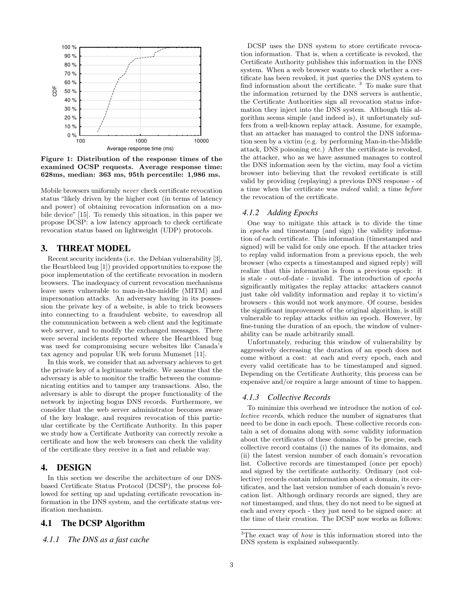

<span id="page-2-0"></span>Figure 1: Distribution of the response times of the examined OCSP requests. Average response time: 628ms, median: 363 ms, 95th percentile: 1,986 ms.

Mobile browsers uniformly never check certificate revocation status "likely driven by the higher cost (in terms of latency and power) of obtaining revocation information on a mobile device" [\[15\]](#page-5-5). To remedy this situation, in this paper we propose DCSP: a low latency approach to check certificate revocation status based on lightweight (UDP) protocols.

# 3. THREAT MODEL

Recent security incidents (i.e. the Debian vulnerability [\[3\]](#page-5-6), the Heartbleed bug [\[1\]](#page-5-7)) provided opportunities to expose the poor implementation of the certificate revocation in modern browsers. The inadequacy of current revocation mechanisms leave users vulnerable to man-in-the-middle (MITM) and impersonation attacks. An adversary having in its possession the private key of a website, is able to trick browsers into connecting to a fraudulent website, to eavesdrop all the communication between a web client and the legitimate web server, and to modify the exchanged messages. There were several incidents reported where the Heartbleed bug was used for compromising secure websites like Canada's tax agency and popular UK web forum Mumsnet [\[11\]](#page-5-8).

In this work, we consider that an adversary achieves to get the private key of a legitimate website. We assume that the adversary is able to monitor the traffic between the communicating entities and to tamper any transactions. Also, the adversary is able to disrupt the proper functionality of the network by injecting bogus DNS records. Furthermore, we consider that the web server administrator becomes aware of the key leakage, and requires revocation of this particular certificate by the Certificate Authority. In this paper we study how a Certificate Authority can correctly revoke a certificate and how the web browsers can check the validity of the certificate they receive in a fast and reliable way.

# 4. DESIGN

In this section we describe the architecture of our DNSbased Certificate Status Protocol (DCSP), the process followed for setting up and updating certificate revocation information in the DNS system, and the certificate status verification mechanism.

# 4.1 The DCSP Algorithm

*4.1.1 The DNS as a fast cache*

DCSP uses the DNS system to store certificate revocation information. That is, when a certificate is revoked, the Certificate Authority publishes this information in the DNS system. When a web browser wants to check whether a certificate has been revoked, it just queries the DNS system to find information about the certificate.  $3$  To make sure that the information returned by the DNS servers is authentic, the Certificate Authorities sign all revocation status information they inject into the DNS system. Although this algorithm seems simple (and indeed is), it unfortunately suffers from a well-known replay attack. Assume, for example, that an attacker has managed to control the DNS information seen by a victim (e.g. by performing Man-in-the-Middle attack, DNS poisoning etc.) After the certificate is revoked, the attacker, who as we have assumed manages to control the DNS information seen by the victim, may fool a victim browser into believing that the revoked certificate is still valid by providing (replaying) a previous DNS response - of a time when the certificate was indeed valid; a time before the revocation of the certificate.

## *4.1.2 Adding Epochs*

One way to mitigate this attack is to divide the time in epochs and timestamp (and sign) the validity information of each certificate. This information (timestamped and signed) will be valid for only one epoch. If the attacker tries to replay valid information from a previous epoch, the web browser (who expects a timestamped and signed reply) will realize that this information is from a previous epoch: it is stale - out-of-date - invalid. The introduction of epochs significantly mitigates the replay attacks: attackers cannot just take old validity information and replay it to victim's browsers - this would not work anymore. Of course, besides the significant improvement of the original algorithm, is still vulnerable to replay attacks within an epoch. However, by fine-tuning the duration of an epoch, the window of vulnerability can be made arbitrarily small.

Unfortunately, reducing this window of vulnerability by aggressively decreasing the duration of an epoch does not come without a cost: at each and every epoch, each and every valid certificate has to be timestamped and signed. Depending on the Certificate Authority, this process can be expensive and/or require a large amount of time to happen.

#### *4.1.3 Collective Records*

To minimize this overhead we introduce the notion of collective records, which reduce the number of signatures that need to be done in each epoch. These collective records contain a set of domains along with some validity information about the certificates of these domains. To be precise, each collective record contains (i) the names of its domains, and (ii) the latest version number of each domain's revocation list. Collective records are timestamped (once per epoch) and signed by the certificate authority. Ordinary (not collective) records contain information about a domain, its certificates, and the last version number of each domain's revocation list. Although ordinary records are signed, they are not timestamped, and thus, they do not need to be signed at each and every epoch - they just need to be signed once: at the time of their creation. The DCSP now works as follows:

<span id="page-2-1"></span><sup>3</sup>The exact way of how is this information stored into the DNS system is explained subsequently.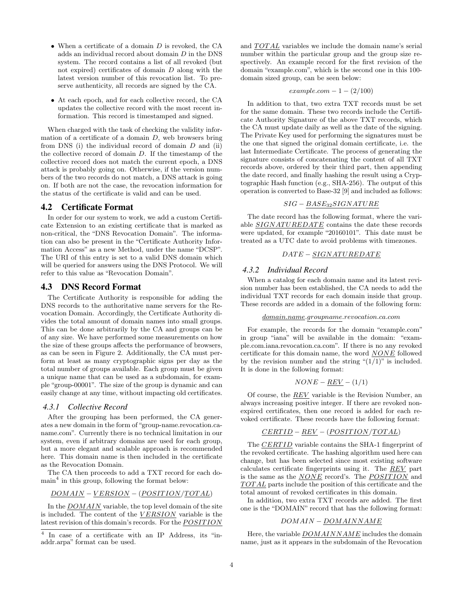- When a certificate of a domain  $D$  is revoked, the CA adds an individual record about domain D in the DNS system. The record contains a list of all revoked (but not expired) certificates of domain D along with the latest version number of this revocation list. To preserve authenticity, all records are signed by the CA.
- At each epoch, and for each collective record, the CA updates the collective record with the most recent information. This record is timestamped and signed.

When charged with the task of checking the validity information of a certificate of a domain  $D$ , web browsers bring from DNS (i) the individual record of domain D and (ii) the collective record of domain D. If the timestamp of the collective record does not match the current epoch, a DNS attack is probably going on. Otherwise, if the version numbers of the two records do not match, a DNS attack is going on. If both are not the case, the revocation information for the status of the certificate is valid and can be used.

#### 4.2 Certificate Format

In order for our system to work, we add a custom Certificate Extension to an existing certificate that is marked as non-critical, the "DNS Revocation Domain". The information can also be present in the "Certificate Authority Information Access" as a new Method, under the name "DCSP". The URI of this entry is set to a valid DNS domain which will be queried for answers using the DNS Protocol. We will refer to this value as "Revocation Domain".

#### 4.3 DNS Record Format

The Certificate Authority is responsible for adding the DNS records to the authoritative name servers for the Revocation Domain. Accordingly, the Certificate Authority divides the total amount of domain names into small groups. This can be done arbitrarily by the CA and groups can be of any size. We have performed some measurements on how the size of these groups affects the performance of browsers, as can be seen in Figure [2.](#page-4-0) Additionally, the CA must perform at least as many cryptographic signs per day as the total number of groups available. Each group must be given a unique name that can be used as a subdomain, for example "group-00001". The size of the group is dynamic and can easily change at any time, without impacting old certificates.

#### *4.3.1 Collective Record*

After the grouping has been performed, the CA generates a new domain in the form of "group-name.revocation.caname.com". Currently there is no technical limitation in our system, even if arbitrary domains are used for each group, but a more elegant and scalable approach is recommended here. This domain name is then included in the certificate as the Revocation Domain.

The CA then proceeds to add a TXT record for each do- $\text{main}^4$  $\text{main}^4$  in this group, following the format below:

$$
DOMAIN-VERSION-(POSITION/TOTAL)
$$

In the DOMAIN variable, the top level domain of the site is included. The content of the VERSION variable is the latest revision of this domain's records. For the POSITION and TOTAL variables we include the domain name's serial number within the particular group and the group size respectively. An example record for the first revision of the domain "example.com", which is the second one in this 100 domain sized group, can be seen below:

#### $example.com - 1 - (2/100)$

In addition to that, two extra TXT records must be set for the same domain. These two records include the Certificate Authority Signature of the above TXT records, which the CA must update daily as well as the date of the signing. The Private Key used for performing the signatures must be the one that signed the original domain certificate, i.e. the last Intermediate Certificate. The process of generating the signature consists of concatenating the content of all TXT records above, ordered by their third part, then appending the date record, and finally hashing the result using a Cryptographic Hash function (e.g., SHA-256). The output of this operation is converted to Base-32 [\[9\]](#page-5-9) and included as follows:

#### $SIG-BASE_{32}SIGNATURE$

The date record has the following format, where the variable  $SIGNATIVE$  contains the date these records were updated, for example "20160101". This date must be treated as a UTC date to avoid problems with timezones.

#### $\mathit{DATE} - \mathit{SIGNATURE}$

#### *4.3.2 Individual Record*

When a catalog for each domain name and its latest revision number has been established, the CA needs to add the individual TXT records for each domain inside that group. These records are added in a domain of the following form:

#### domain.name.groupname.revocation.ca.com

For example, the records for the domain "example.com" in group "iana" will be available in the domain: "example.com.iana.revocation.ca.com". If there is no any revoked certificate for this domain name, the word  $NONE$  followed by the revision number and the string " $(1/1)$ " is included. It is done in the following format:

#### $NONE - REV - (1/1)$

Of course, the REV variable is the Revision Number, an always increasing positive integer. If there are revoked nonexpired certificates, then one record is added for each revoked certificate. These records have the following format:

#### $CERTID - REV - (POSTTON/TOTAL)$

The CERTID variable contains the SHA-1 fingerprint of the revoked certificate. The hashing algorithm used here can change, but has been selected since most existing software calculates certificate fingerprints using it. The REV part is the same as the  $NONE$  record's. The POSITION and TOTAL parts include the position of this certificate and the total amount of revoked certificates in this domain.

In addition, two extra TXT records are added. The first one is the "DOMAIN" record that has the following format:

#### DOMAIN − DOMAINNAME

Here, the variable DOMAINNAME includes the domain name, just as it appears in the subdomain of the Revocation

<span id="page-3-0"></span><sup>4</sup> In case of a certificate with an IP Address, its "inaddr.arpa" format can be used.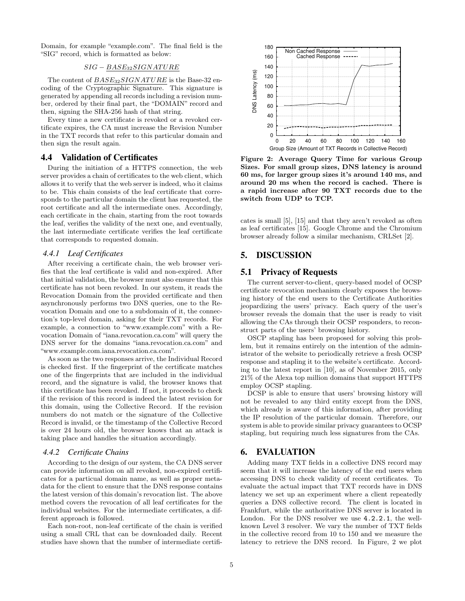Domain, for example "example.com". The final field is the "SIG" record, which is formatted as below:

# $SIG-BASE_{32}SIGNATURE$

The content of  $BASE_{32}SIGNATIVE$  is the Base-32 encoding of the Cryptographic Signature. This signature is generated by appending all records including a revision number, ordered by their final part, the "DOMAIN" record and then, signing the SHA-256 hash of that string.

Every time a new certificate is revoked or a revoked certificate expires, the CA must increase the Revision Number in the TXT records that refer to this particular domain and then sign the result again.

## 4.4 Validation of Certificates

During the initiation of a HTTPS connection, the web server provides a chain of certificates to the web client, which allows it to verify that the web server is indeed, who it claims to be. This chain consists of the leaf certificate that corresponds to the particular domain the client has requested, the root certificate and all the intermediate ones. Accordingly, each certificate in the chain, starting from the root towards the leaf, verifies the validity of the next one, and eventually, the last intermediate certificate verifies the leaf certificate that corresponds to requested domain.

#### *4.4.1 Leaf Certificates*

After receiving a certificate chain, the web browser verifies that the leaf certificate is valid and non-expired. After that initial validation, the browser must also ensure that this certificate has not been revoked. In our system, it reads the Revocation Domain from the provided certificate and then asynchronously performs two DNS queries, one to the Revocation Domain and one to a subdomain of it, the connection's top-level domain, asking for their TXT records. For example, a connection to "www.example.com" with a Revocation Domain of "iana.revocation.ca.com" will query the DNS server for the domains "iana.revocation.ca.com" and "www.example.com.iana.revocation.ca.com".

As soon as the two responses arrive, the Individual Record is checked first. If the fingerprint of the certificate matches one of the fingerprints that are included in the individual record, and the signature is valid, the browser knows that this certificate has been revoked. If not, it proceeds to check if the revision of this record is indeed the latest revision for this domain, using the Collective Record. If the revision numbers do not match or the signature of the Collective Record is invalid, or the timestamp of the Collective Record is over 24 hours old, the browser knows that an attack is taking place and handles the situation accordingly.

#### *4.4.2 Certificate Chains*

According to the design of our system, the CA DNS server can provide information on all revoked, non-expired certificates for a particual domain name, as well as proper metadata for the client to ensure that the DNS response contains the latest version of this domain's revocation list. The above method covers the revocation of all leaf certificates for the individual websites. For the intermediate certificates, a different approach is followed.

Each non-root, non-leaf certificate of the chain is verified using a small CRL that can be downloaded daily. Recent studies have shown that the number of intermediate certifi-



<span id="page-4-0"></span>Figure 2: Average Query Time for various Group Sizes. For small group sizes, DNS latency is around 60 ms, for larger group sizes it's around 140 ms, and around 20 ms when the record is cached. There is a rapid increase after 90 TXT records due to the switch from UDP to TCP.

cates is small [\[5\]](#page-5-10), [\[15\]](#page-5-5) and that they aren't revoked as often as leaf certificates [\[15\]](#page-5-5). Google Chrome and the Chromium browser already follow a similar mechanism, CRLSet [\[2\]](#page-5-11).

# 5. DISCUSSION

## 5.1 Privacy of Requests

The current server-to-client, query-based model of OCSP certificate revocation mechanism clearly exposes the browsing history of the end users to the Certificate Authorities jeopardizing the users' privacy. Each query of the user's browser reveals the domain that the user is ready to visit allowing the CAs through their OCSP responders, to reconstruct parts of the users' browsing history.

OSCP stapling has been proposed for solving this problem, but it remains entirely on the intention of the administrator of the website to periodically retrieve a fresh OCSP response and stapling it to the website's certificate. According to the latest report in [\[10\]](#page-5-12), as of November 2015, only 21% of the Alexa top million domains that support HTTPS employ OCSP stapling.

DCSP is able to ensure that users' browsing history will not be revealed to any third entity except from the DNS, which already is aware of this information, after providing the IP resolution of the particular domain. Therefore, our system is able to provide similar privacy guarantees to OCSP stapling, but requiring much less signatures from the CAs.

#### 6. EVALUATION

Adding many TXT fields in a collective DNS record may seem that it will increase the latency of the end users when accessing DNS to check validity of recent certificates. To evaluate the actual impact that TXT records have in DNS latency we set up an experiment where a client repeatedly queries a DNS collective record. The client is located in Frankfurt, while the authoritative DNS server is located in London. For the DNS resolver we use 4.2.2.1, the wellknown Level 3 resolver. We vary the number of TXT fields in the collective record from 10 to 150 and we measure the latency to retrieve the DNS record. In Figure, [2](#page-4-0) we plot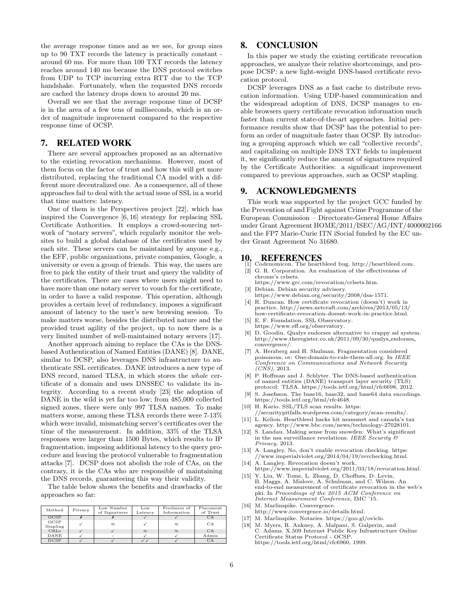the average response times and as we see, for group sizes up to 90 TXT records the latency is practically constant around 60 ms. For more than 100 TXT records the latency reaches around 140 ms because the DNS protocol switches from UDP to TCP incurring extra RTT due to the TCP handshake. Fortunately, when the requested DNS records are cached the latency drops down to around 20 ms.

Overall we see that the average response time of DCSP is in the area of a few tens of milliseconds, which is an order of magnitude improvement compared to the respective response time of OCSP.

# 7. RELATED WORK

There are several approaches proposed as an alternative to the existing revocation mechanisms. However, most of them focus on the factor of trust and how this will get more distributed, replacing the traditional CA model with a different more decentralized one. As a consequence, all of these approaches fail to deal with the actual issue of SSL in a world that time matters: latency.

One of them is the Perspectives project [\[22\]](#page-6-3), which has inspired the Convergence [\[6,](#page-5-13) [16\]](#page-5-14) strategy for replacing SSL Certificate Authorities. It employs a crowd-sourcing network of "notary servers", which regularly monitor the websites to build a global database of the certificates used by each site. These servers can be maintained by anyone e.g., the EFF, public organizations, private companies, Google, a university or even a group of friends. This way, the users are free to pick the entity of their trust and query the validity of the certificates. There are cases where users might need to have more than one notary server to vouch for the certificate, in order to have a valid response. This operation, although provides a certain level of redundancy, imposes a significant amount of latency to the user's new browsing session. To make matters worse, besides the distributed nature and the provided trust agility of the project, up to now there is a very limited number of well-maintained notary servers [\[17\]](#page-5-15).

Another approach aiming to replace the CAs is the DNSbased Authentication of Named Entities (DANE) [\[8\]](#page-5-16). DANE, similar to DCSP, also leverages DNS infrastructure to authenticate SSL certificates. DANE introduces a new type of DNS record, named TLSA, in which stores the whole certificate of a domain and uses DNSSEC to validate its integrity. According to a recent study [\[23\]](#page-6-4) the adoption of DANE in the wild is yet far too low; from 485,000 collected signed zones, there were only 997 TLSA names. To make matters worse, among these TLSA records there were 7-13% which were invalid, mismatching server's certificates over the time of the measurement. In addition, 33% of the TLSA responses were larger than 1500 Bytes, which results to IP fragmentation, imposing additional latency to the query procedure and leaving the protocol vulnerable to fragmentation attacks [\[7\]](#page-5-17). DCSP does not abolish the role of CAs, on the contrary, it is the CAs who are responsible of maintaining the DNS records, guaranteeing this way their validity.

The table below shows the benefits and drawbacks of the approaches so far:

| Method      | Privacy | Low Number    | Low       | Freshness of | Placement |
|-------------|---------|---------------|-----------|--------------|-----------|
|             |         | of Signatures | Latency   | Information  | of Trust  |
| OCSP        |         |               |           |              | CA        |
| OCSP        |         | $\approx$     |           | $\approx$    | CA        |
| Stapling    |         |               |           |              |           |
| CRLs        |         |               | $\approx$ | $\approx$    | CA        |
| DANE        |         |               |           |              | Admin     |
| <b>DCSP</b> |         |               |           |              | CA        |

## 8. CONCLUSION

In this paper we study the existing certificate revocation approaches, we analyze their relative shortcomings, and propose DCSP: a new light-weight DNS-based certificate revocation protocol.

DCSP leverages DNS as a fast cache to distribute revocation information. Using UDP-based communication and the widespread adoption of DNS, DCSP manages to enable browsers query certificate revocation information much faster than current state-of-the-art approaches. Initial performance results show that DCSP has the potential to perform an order of magnitude faster than OCSP. By introducing a grouping approach which we call "collective records", and capitalizing on multiple DNS TXT fields to implement it, we significantly reduce the amount of signatures required by the Certificate Authorities: a significant improvement compared to previous approaches, such as OCSP stapling.

## 9. ACKNOWLEDGMENTS

This work was supported by the project GCC funded by the Prevention of and Fight against Crime Programme of the European Commission – Directorate-General Home Affairs under Grant Agreement HOME/2011/ISEC/AG/INT/4000002166 and the FP7 Marie-Curie ITN iSocial funded by the EC under Grant Agreement No 31680.

#### 10. REFERENCES

- <span id="page-5-11"></span><span id="page-5-7"></span>[1] Codenomicon. The heartbleed bug. [http://heartbleed.com.](http://heartbleed.com) [2] G. R. Corporation. An evaluation of the effectiveness of
- chrome's crlsets. [https://www.grc.com/revocation/crlsets.htm.](https://www.grc.com/revocation/crlsets.htm)
- <span id="page-5-6"></span>[3] Debian. Debian security advisory. [https://www.debian.org/security/2008/dsa-1571.](https://www.debian.org/security/2008/dsa-1571)
- <span id="page-5-3"></span>[4] R. Duncan. How certificate revocation (doesn't) work in practice. [http://news.netcraft.com/archives/2013/05/13/](http://news.netcraft.com/archives/2013/05/13/how-certificate-revocation-doesnt-work-in-practice.html) [how-certificate-revocation-doesnt-work-in-practice.html.](http://news.netcraft.com/archives/2013/05/13/how-certificate-revocation-doesnt-work-in-practice.html)
- <span id="page-5-10"></span>[5] E. F. Foundation. SSL Observatory. [https://www.eff.org/observatory.](https://www.eff.org/observatory)
- <span id="page-5-13"></span>D. Goodin. Qualys endorses alternative to crappy ssl system. [http://www.theregister.co.uk/2011/09/30/qualys](http://www.theregister.co.uk/2011/09/30/qualys_endorses_convergence/) endorses [convergence/.](http://www.theregister.co.uk/2011/09/30/qualys_endorses_convergence/)
- <span id="page-5-17"></span>A. Herzberg and H. Shulman. Fragmentation considered poisonous, or: One-domain-to-rule-them-all.org. In IEEE<br>Conference on Communications and Network Security  $(CNS)$ , 2013.
- <span id="page-5-16"></span>[8] P. Hoffman and J. Schlyter. The DNS-based authentication of named entities (DANE) transport layer security (TLS) protocol: TLSA. [https://tools.ietf.org/html/rfc6698,](https://tools.ietf.org/html/rfc6698) 2012.
- <span id="page-5-9"></span>S. Josefsson. The base16, base32, and base64 data encodings. [https://tools.ietf.org/html/rfc4648.](https://tools.ietf.org/html/rfc4648)
- <span id="page-5-12"></span>[10] H. Kario. SSL/TLS scan results. [https:](https://securitypitfalls.wordpress.com/category/scan-results/) [//securitypitfalls.wordpress.com/category/scan-results/.](https://securitypitfalls.wordpress.com/category/scan-results/)
- <span id="page-5-8"></span>[11] L. Kelion. Heartbleed hacks hit mumsnet and canada's tax agency. [http://www.bbc.com/news/technology-27028101.](http://www.bbc.com/news/technology-27028101)
- <span id="page-5-0"></span>[12] S. Landau. Making sense from snowden: What's significant in the nsa surveillance revelations. IEEE Security  $\mathcal B$ Privacy, 2013.
- <span id="page-5-1"></span>[13] A. Langley. No, don't enable revocation checking. [https:](https://www.imperialviolet.org/2014/04/19/revchecking.html) [//www.imperialviolet.org/2014/04/19/revchecking.html.](https://www.imperialviolet.org/2014/04/19/revchecking.html)
- <span id="page-5-2"></span>[14] A. Langley. Revocation doesn't work. [https://www.imperialviolet.org/2011/03/18/revocation.html.](https://www.imperialviolet.org/2011/03/18/revocation.html)
- <span id="page-5-5"></span>[15] Y. Liu, W. Tome, L. Zhang, D. Choffnes, D. Levin, B. Maggs, A. Mislove, A. Schulman, and C. Wilson. An end-to-end measurement of certificate revocation in the web's pki. In Proceedings of the 2015 ACM Conference on Internet Measurement Conference, IMC '15.
- <span id="page-5-14"></span>[16] M. Marlinspike. Convergence.
- [http://www.convergence.io/details.html.](http://www.convergence.io/details.html) [17] M. Marlinspike. Notaries. [https://goo.gl/oviclo.](https://goo.gl/oviclo)
- <span id="page-5-15"></span><span id="page-5-4"></span>[18] M. Myers, R. Ankney, A. Malpani, S. Galperin, and C. Adams. X.509 Internet Public Key Infrastructure Online Certificate Status Protocol - OCSP. [https://tools.ietf.org/html/rfc6960,](https://tools.ietf.org/html/rfc6960) 1999.